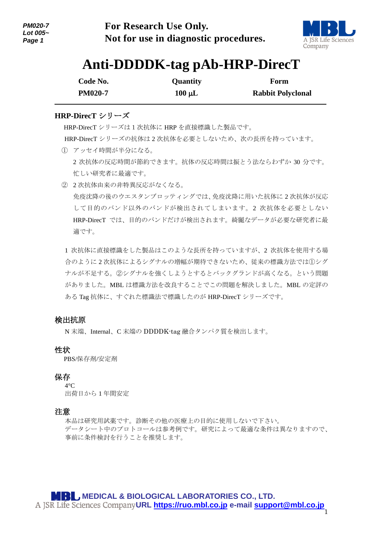

# **Anti-DDDDK-tag pAb-HRP-DirecT**

| Code No.       | <b>Quantity</b> | Form                     |
|----------------|-----------------|--------------------------|
| <b>PM020-7</b> | $100 \mu L$     | <b>Rabbit Polyclonal</b> |

# **HRP-DirecT** シリーズ

1

 HRP-DirecT シリーズは1次抗体に HRP を直接標識した製品です。 HRP-DirecT シリーズの抗体は 2 次抗体を必要としないため、次の長所を持っています。

- ① アッセイ時間が半分になる。 2 次抗体の反応時間が節約できます。抗体の反応時間は振とう法ならわずか 30 分です。 忙しい研究者に最適です。
- ② 2 次抗体由来の非特異反応がなくなる。 免疫沈降の後のウエスタンブロッティングでは、免疫沈降に用いた抗体に 2 次抗体が反応 して目的のバンド以外のバンドが検出されてしまいます。2 次抗体を必要としない HRP-DirecT では、目的のバンドだけが検出されます。綺麗なデータが必要な研究者に最 適です。

1 次抗体に直接標識をした製品はこのような長所を持っていますが、2 次抗体を使用する場 合のように 2 次抗体によるシグナルの増幅が期待できないため、従来の標識方法では①シグ ナルが不足する。②シグナルを強くしようとするとバックグランドが高くなる。という問題 がありました。MBL は標識方法を改良することでこの問題を解決しました。MBL の定評の ある Tag 抗体に、すぐれた標識法で標識したのが HRP-DirecT シリーズです。

# 検出抗原

N 末端、Internal、C 末端の DDDDK-tag 融合タンパク質を検出します。

## 性状

PBS/保存剤/安定剤

## 保存

 $4^{\circ}C$ 出荷日から 1 年間安定

## 注意

本品は研究用試薬です。診断その他の医療上の目的に使用しないで下さい。 データシート中のプロトコールは参考例です。研究によって最適な条件は異なりますので、 事前に条件検討を行うことを推奨します。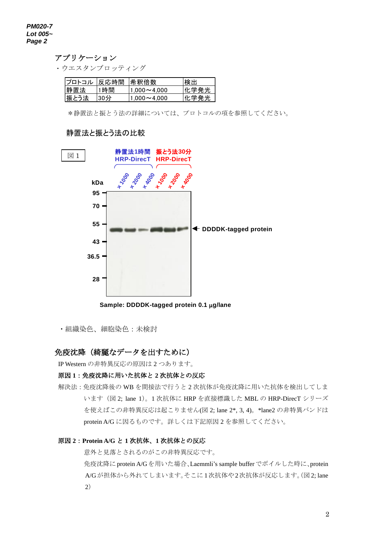#### アプリケーション

・ウエスタンブロッティング

| ブロトコル | 反応時間  希釈倍数 |                 | 検出    |
|-------|------------|-----------------|-------|
| 静置法   | 1時間        | $1.000 - 4.000$ | 化学発光  |
| 振とう法  | $130$ 分    | $1.000 - 4.000$ | '化字発光 |

\*静置法と振とう法の詳細については、プロトコルの項を参照してください。

## 静置法と振とう法の比較



**Sample: DDDDK-tagged protein 0.1 g/lane**

・組織染色、細胞染色:未検討

# 免疫沈降(綺麗なデータを出すために)

IP Western の非特異反応の原因は 2 つあります。

## 原因 **1**:免疫沈降に用いた抗体と **2** 次抗体との反応

解決法:免疫沈降後の WB を間接法で行うと 2 次抗体が免疫沈降に用いた抗体を検出してしま います(図 2; lane 1)。1 次抗体に HRP を直接標識した MBL の HRP-DirecT シリーズ を使えばこの非特異反応は起こりません(図 2; lane 2\*, 3, 4)。\*lane2 の非特異バンドは protein A/G に因るものです。詳しくは下記原因 2 を参照してください。

#### 原因 **2**:**Protein A/G** と **1** 次抗体、**1** 次抗体との反応

意外と見落とされるのがこの非特異反応です。

 免疫沈降にprotein A/Gを用いた場合、Laemmli's sample bufferでボイルした時に、protein A/Gが担体から外れてしまいます。そこに1次抗体や2次抗体が反応します。(図2; lane 2)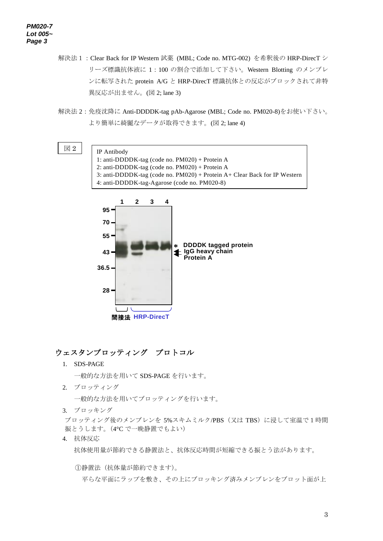#### *PM020-7 Lot 005~ Page 3*

- 解決法 1: Clear Back for IP Western 試薬 (MBL; Code no. MTG-002) を希釈後の HRP-DirecT シ リーズ標識抗体液に 1:100 の割合で添加して下さい。Western Blotting のメンブレ ンに転写された protein A/G と HRP-DirecT 標識抗体との反応がブロックされて非特 異反応が出ません。(図 2; lane 3)
- 解決法 2: 免疫沈降に Anti-DDDDK-tag pAb-Agarose (MBL; Code no. PM020-8)をお使い下さい。 より簡単に綺麗なデータが取得できます。(図 2; lane 4)

#### 図 2





# ウェスタンブロッティング プロトコル

1. SDS-PAGE

一般的な方法を用いて SDS-PAGE を行います。

2. ブロッティング

一般的な方法を用いてブロッティングを行います。

3. ブロッキング

ブロッティング後のメンブレンを 5%スキムミルク/PBS(又は TBS)に浸して室温で1時間 振とうします。(4°C で一晩静置でもよい)

4. 抗体反応

抗体使用量が節約できる静置法と、抗体反応時間が短縮できる振とう法があります。

①静置法(抗体量が節約できます)。

平らな平面にラップを敷き、その上にブロッキング済みメンブレンをブロット面が上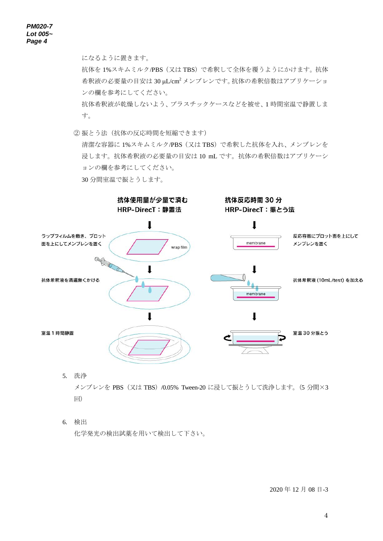になるように置きます。

抗体を1%スキムミルク/PBS (又は TBS)で希釈して全体を覆うようにかけます。抗体 希釈液の必要量の目安は 30 μL/cm<sup>2</sup> メンブレンです。抗体の希釈倍数はアプリケーショ ンの欄を参考にしてください。

抗体希釈液が乾燥しないよう、プラスチックケースなどを被せ、1 時間室温で静置しま す。

② 振とう法(抗体の反応時間を短縮できます)

清潔な容器に 1%スキムミルク/PBS(又は TBS)で希釈した抗体を入れ、メンブレンを 浸します。抗体希釈液の必要量の目安は 10 mL です。抗体の希釈倍数はアプリケーシ ョンの欄を参考にしてください。 30 分間室温で振とうします。



- 5. 洗浄 メンブレンを PBS(又は TBS)/0.05% Tween-20 に浸して振とうして洗浄します。(5 分間×3 回)
- 6. 検出

化学発光の検出試薬を用いて検出して下さい。

2020 年 12 月 08 日-3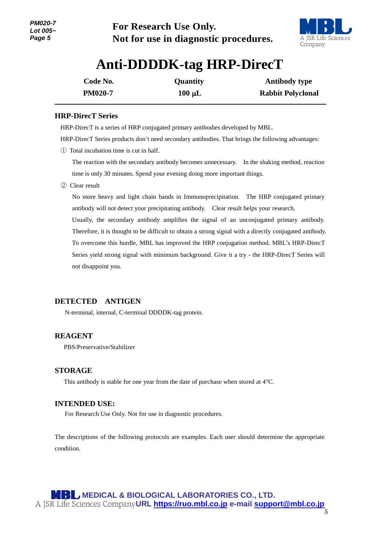

# **Anti-DDDDK-tag HRP-DirecT**

| Code No.       | <b>Quantity</b> | <b>Antibody type</b>     |
|----------------|-----------------|--------------------------|
| <b>PM020-7</b> | $100 \mu L$     | <b>Rabbit Polyclonal</b> |

## **HRP-DirecT Series**

1

HRP-DirecT is a series of HRP conjugated primary antibodies developed by MBL.

HRP-DirecT Series products don't need secondary antibodies. That brings the following advantages:

① Total incubation time is cut in half.

The reaction with the secondary antibody becomes unnecessary. In the shaking method, reaction time is only 30 minutes. Spend your evening doing more important things.

② Clear result

No more heavy and light chain bands in Immunoprecipitation. The HRP conjugated primary antibody will not detect your precipitating antibody. Clear result helps your research.

Usually, the secondary antibody amplifies the signal of an unconjugated primary antibody. Therefore, it is thought to be difficult to obtain a strong signal with a directly conjugated antibody. To overcome this hurdle, MBL has improved the HRP conjugation method. MBL's HRP-DirecT Series yield strong signal with minimum background. Give it a try - the HRP-DirecT Series will not disappoint you.

## **DETECTED ANTIGEN**

N-terminal, internal, C-terminal DDDDK-tag protein.

## **REAGENT**

PBS/Preservative/Stabilizer

## **STORAGE**

This antibody is stable for one year from the date of purchase when stored at 4°C.

## **INTENDED USE:**

For Research Use Only. Not for use in diagnostic procedures.

The descriptions of the following protocols are examples. Each user should determine the appropriate condition.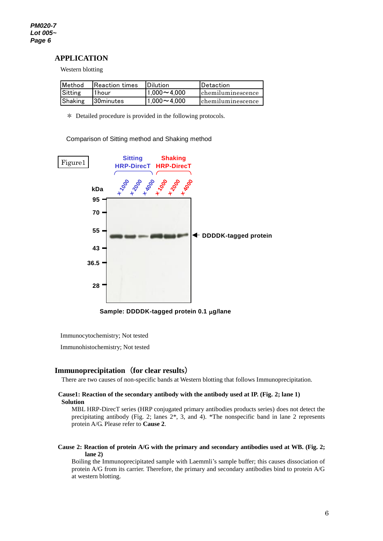#### **APPLICATION**

Western blotting

| Method  | <b>IReaction times</b> | <b>IDilution</b>           | <b>IDetaction</b>  |
|---------|------------------------|----------------------------|--------------------|
| Sitting | 11 hour                | $11.000\!\thicksim\!4.000$ | chemiluminescence  |
| Shaking | <b>130minutes</b>      | $11.000 - 4.000$           | lchemiluminescence |

\* Detailed procedure is provided in the following protocols.

Comparison of Sitting method and Shaking method



**Sample: DDDDK-tagged protein 0.1 g/lane**

Immunocytochemistry; Not tested

Immunohistochemistry; Not tested

## **Immunoprecipitation**(**for clear results**)

There are two causes of non-specific bands at Western blotting that follows Immunoprecipitation.

#### **Cause1: Reaction of the secondary antibody with the antibody used at IP. (Fig. 2; lane 1) Solution**

MBL HRP-DirecT series (HRP conjugated primary antibodies products series) does not detect the precipitating antibody (Fig. 2; lanes 2\*, 3, and 4). \*The nonspecific band in lane 2 represents protein A/G. Please refer to **Cause 2**.

#### **Cause 2: Reaction of protein A/G with the primary and secondary antibodies used at WB. (Fig. 2; lane 2)**

Boiling the Immunoprecipitated sample with Laemmli's sample buffer; this causes dissociation of protein A/G from its carrier. Therefore, the primary and secondary antibodies bind to protein A/G at western blotting.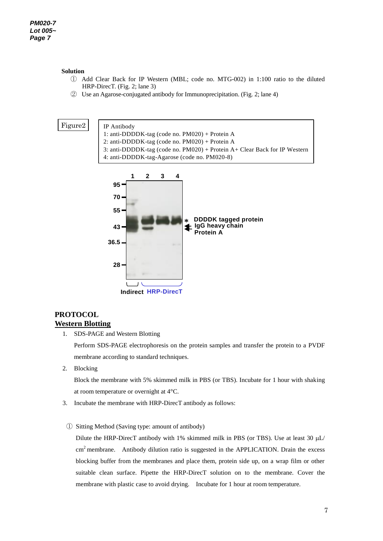#### **Solution**

- ① Add Clear Back for IP Western (MBL; code no. MTG-002) in 1:100 ratio to the diluted HRP-DirecT. (Fig. 2; lane 3)
- ② Use an Agarose-conjugated antibody for Immunoprecipitation. (Fig. 2; lane 4)

#### Figure2





## **PROTOCOL Western Blotting**

1. SDS-PAGE and Western Blotting

Perform SDS-PAGE electrophoresis on the protein samples and transfer the protein to a PVDF membrane according to standard techniques.

2. Blocking

Block the membrane with 5% skimmed milk in PBS (or TBS). Incubate for 1 hour with shaking at room temperature or overnight at 4°C.

- 3. Incubate the membrane with HRP-DirecT antibody as follows:
- ① Sitting Method (Saving type: amount of antibody)

Dilute the HRP-DirecT antibody with 1% skimmed milk in PBS (or TBS). Use at least 30  $\mu$ L/  $cm<sup>2</sup>$  membrane. Antibody dilution ratio is suggested in the APPLICATION. Drain the excess blocking buffer from the membranes and place them, protein side up, on a wrap film or other suitable clean surface. Pipette the HRP-DirecT solution on to the membrane. Cover the membrane with plastic case to avoid drying. Incubate for 1 hour at room temperature.